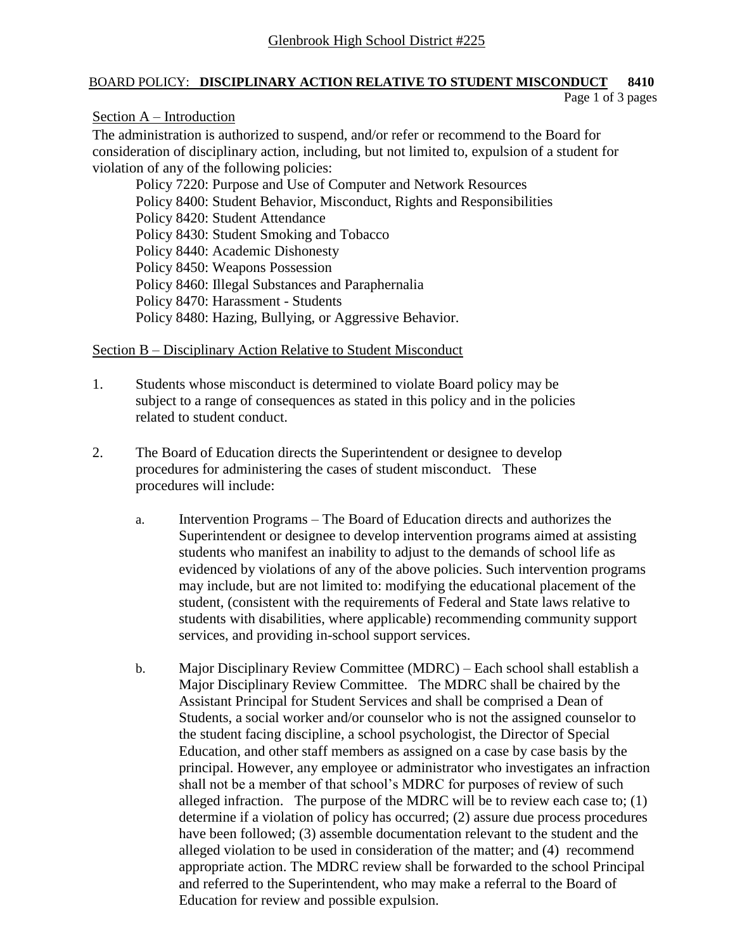### BOARD POLICY: **DISCIPLINARY ACTION RELATIVE TO STUDENT MISCONDUCT 8410**

Page 1 of 3 pages

### Section A – Introduction

The administration is authorized to suspend, and/or refer or recommend to the Board for consideration of disciplinary action, including, but not limited to, expulsion of a student for violation of any of the following policies:

Policy 7220: Purpose and Use of Computer and Network Resources Policy 8400: Student Behavior, Misconduct, Rights and Responsibilities Policy 8420: Student Attendance Policy 8430: Student Smoking and Tobacco Policy 8440: Academic Dishonesty Policy 8450: Weapons Possession Policy 8460: Illegal Substances and Paraphernalia Policy 8470: Harassment - Students Policy 8480: Hazing, Bullying, or Aggressive Behavior.

## Section B – Disciplinary Action Relative to Student Misconduct

- 1. Students whose misconduct is determined to violate Board policy may be subject to a range of consequences as stated in this policy and in the policies related to student conduct.
- 2. The Board of Education directs the Superintendent or designee to develop procedures for administering the cases of student misconduct. These procedures will include:
	- a. Intervention Programs The Board of Education directs and authorizes the Superintendent or designee to develop intervention programs aimed at assisting students who manifest an inability to adjust to the demands of school life as evidenced by violations of any of the above policies. Such intervention programs may include, but are not limited to: modifying the educational placement of the student, (consistent with the requirements of Federal and State laws relative to students with disabilities, where applicable) recommending community support services, and providing in-school support services.
	- b. Major Disciplinary Review Committee (MDRC) Each school shall establish a Major Disciplinary Review Committee. The MDRC shall be chaired by the Assistant Principal for Student Services and shall be comprised a Dean of Students, a social worker and/or counselor who is not the assigned counselor to the student facing discipline, a school psychologist, the Director of Special Education, and other staff members as assigned on a case by case basis by the principal. However, any employee or administrator who investigates an infraction shall not be a member of that school's MDRC for purposes of review of such alleged infraction. The purpose of the MDRC will be to review each case to; (1) determine if a violation of policy has occurred; (2) assure due process procedures have been followed; (3) assemble documentation relevant to the student and the alleged violation to be used in consideration of the matter; and (4) recommend appropriate action. The MDRC review shall be forwarded to the school Principal and referred to the Superintendent, who may make a referral to the Board of Education for review and possible expulsion.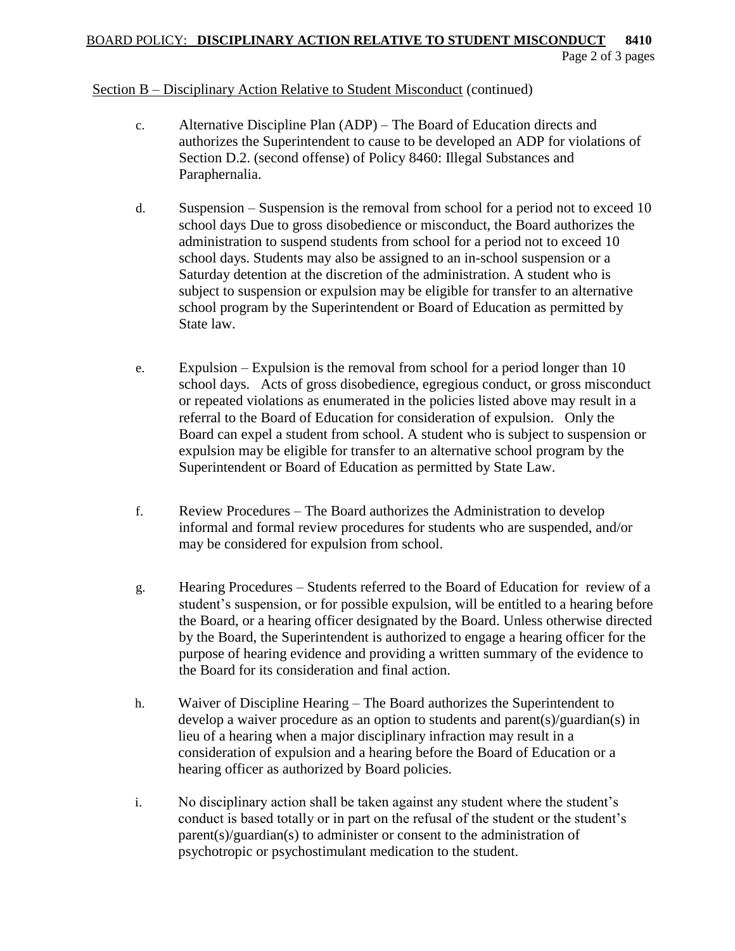#### Section B – Disciplinary Action Relative to Student Misconduct (continued)

- c. Alternative Discipline Plan (ADP) The Board of Education directs and authorizes the Superintendent to cause to be developed an ADP for violations of Section D.2. (second offense) of Policy 8460: Illegal Substances and Paraphernalia.
- d. Suspension Suspension is the removal from school for a period not to exceed 10 school days Due to gross disobedience or misconduct, the Board authorizes the administration to suspend students from school for a period not to exceed 10 school days. Students may also be assigned to an in-school suspension or a Saturday detention at the discretion of the administration. A student who is subject to suspension or expulsion may be eligible for transfer to an alternative school program by the Superintendent or Board of Education as permitted by State law.
- e. Expulsion Expulsion is the removal from school for a period longer than 10 school days. Acts of gross disobedience, egregious conduct, or gross misconduct or repeated violations as enumerated in the policies listed above may result in a referral to the Board of Education for consideration of expulsion. Only the Board can expel a student from school. A student who is subject to suspension or expulsion may be eligible for transfer to an alternative school program by the Superintendent or Board of Education as permitted by State Law.
- f. Review Procedures The Board authorizes the Administration to develop informal and formal review procedures for students who are suspended, and/or may be considered for expulsion from school.
- g. Hearing Procedures Students referred to the Board of Education for review of a student's suspension, or for possible expulsion, will be entitled to a hearing before the Board, or a hearing officer designated by the Board. Unless otherwise directed by the Board, the Superintendent is authorized to engage a hearing officer for the purpose of hearing evidence and providing a written summary of the evidence to the Board for its consideration and final action.
- h. Waiver of Discipline Hearing The Board authorizes the Superintendent to develop a waiver procedure as an option to students and parent(s)/guardian(s) in lieu of a hearing when a major disciplinary infraction may result in a consideration of expulsion and a hearing before the Board of Education or a hearing officer as authorized by Board policies.
- i. No disciplinary action shall be taken against any student where the student's conduct is based totally or in part on the refusal of the student or the student's parent(s)/guardian(s) to administer or consent to the administration of psychotropic or psychostimulant medication to the student.